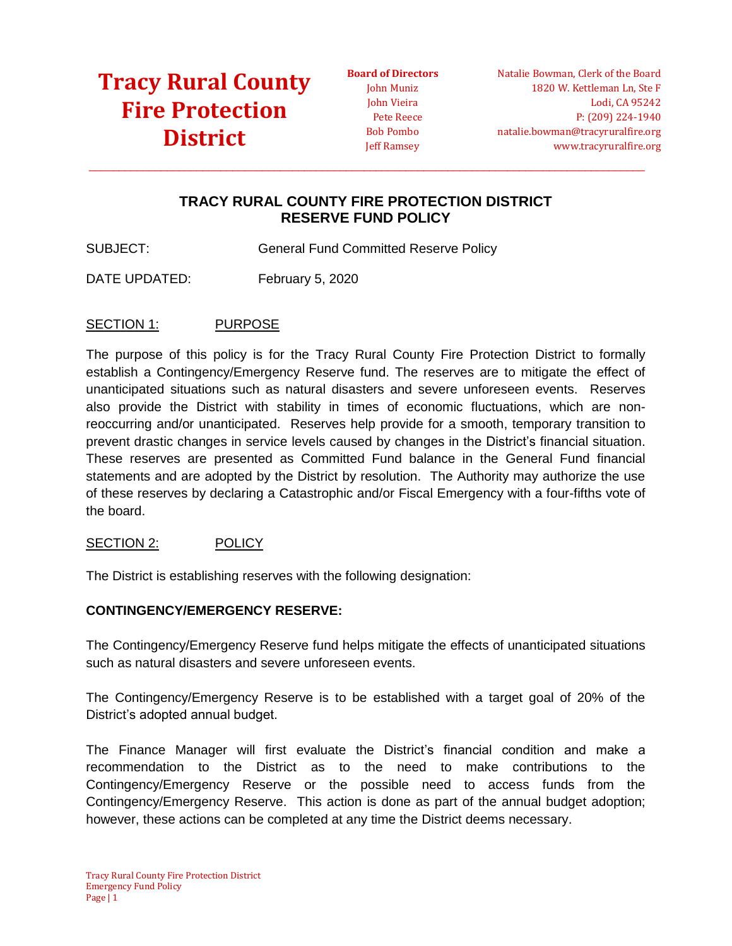**Board of Directors** John Muniz John Vieira Pete Reece Bob Pombo Jeff Ramsey

## **TRACY RURAL COUNTY FIRE PROTECTION DISTRICT RESERVE FUND POLICY**

 $\_$  ,  $\_$  ,  $\_$  ,  $\_$  ,  $\_$  ,  $\_$  ,  $\_$  ,  $\_$  ,  $\_$  ,  $\_$  ,  $\_$  ,  $\_$  ,  $\_$  ,  $\_$  ,  $\_$  ,  $\_$  ,  $\_$  ,  $\_$  ,  $\_$  ,  $\_$  ,  $\_$  ,  $\_$  ,  $\_$  ,  $\_$  ,  $\_$  ,  $\_$  ,  $\_$  ,  $\_$  ,  $\_$  ,  $\_$  ,  $\_$  ,  $\_$  ,  $\_$  ,  $\_$  ,  $\_$  ,  $\_$  ,  $\_$  ,

SUBJECT: General Fund Committed Reserve Policy

DATE UPDATED: February 5, 2020

### SECTION 1: PURPOSE

The purpose of this policy is for the Tracy Rural County Fire Protection District to formally establish a Contingency/Emergency Reserve fund. The reserves are to mitigate the effect of unanticipated situations such as natural disasters and severe unforeseen events. Reserves also provide the District with stability in times of economic fluctuations, which are nonreoccurring and/or unanticipated. Reserves help provide for a smooth, temporary transition to prevent drastic changes in service levels caused by changes in the District's financial situation. These reserves are presented as Committed Fund balance in the General Fund financial statements and are adopted by the District by resolution. The Authority may authorize the use of these reserves by declaring a Catastrophic and/or Fiscal Emergency with a four-fifths vote of the board.

### SECTION 2: POLICY

The District is establishing reserves with the following designation:

### **CONTINGENCY/EMERGENCY RESERVE:**

The Contingency/Emergency Reserve fund helps mitigate the effects of unanticipated situations such as natural disasters and severe unforeseen events.

The Contingency/Emergency Reserve is to be established with a target goal of 20% of the District's adopted annual budget.

The Finance Manager will first evaluate the District's financial condition and make a recommendation to the District as to the need to make contributions to the Contingency/Emergency Reserve or the possible need to access funds from the Contingency/Emergency Reserve. This action is done as part of the annual budget adoption; however, these actions can be completed at any time the District deems necessary.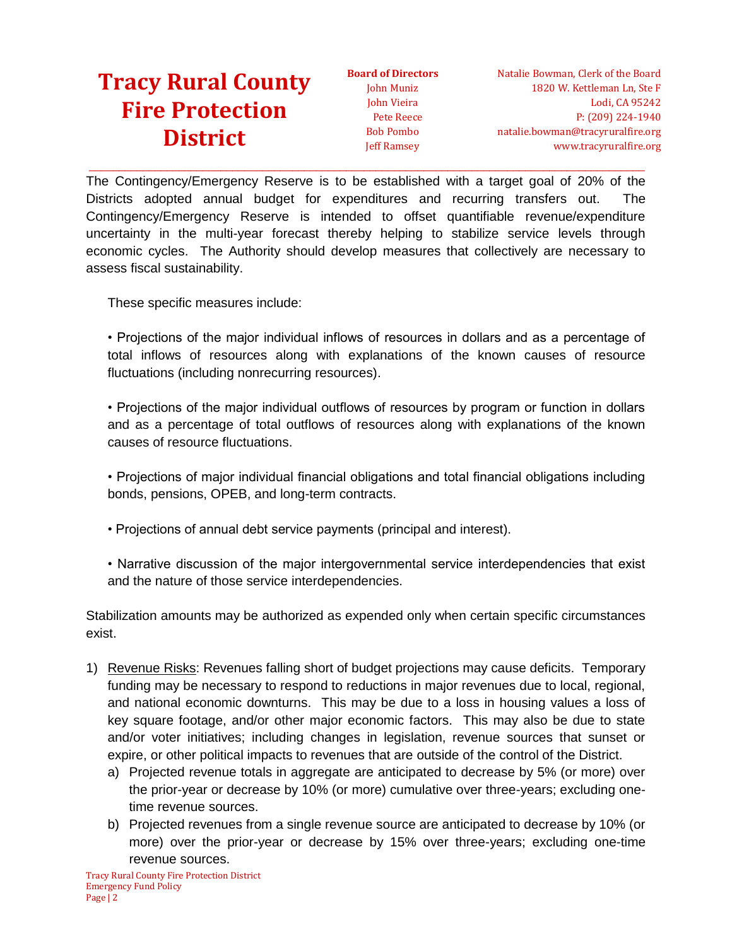**Board of Directors** John Muniz John Vieira Pete Reece Bob Pombo Jeff Ramsey

The Contingency/Emergency Reserve is to be established with a target goal of 20% of the Districts adopted annual budget for expenditures and recurring transfers out. The Contingency/Emergency Reserve is intended to offset quantifiable revenue/expenditure uncertainty in the multi-year forecast thereby helping to stabilize service levels through economic cycles. The Authority should develop measures that collectively are necessary to assess fiscal sustainability.

 $\_$  ,  $\_$  ,  $\_$  ,  $\_$  ,  $\_$  ,  $\_$  ,  $\_$  ,  $\_$  ,  $\_$  ,  $\_$  ,  $\_$  ,  $\_$  ,  $\_$  ,  $\_$  ,  $\_$  ,  $\_$  ,  $\_$  ,  $\_$  ,  $\_$  ,  $\_$  ,  $\_$  ,  $\_$  ,  $\_$  ,  $\_$  ,  $\_$  ,  $\_$  ,  $\_$  ,  $\_$  ,  $\_$  ,  $\_$  ,  $\_$  ,  $\_$  ,  $\_$  ,  $\_$  ,  $\_$  ,  $\_$  ,  $\_$  ,

These specific measures include:

• Projections of the major individual inflows of resources in dollars and as a percentage of total inflows of resources along with explanations of the known causes of resource fluctuations (including nonrecurring resources).

• Projections of the major individual outflows of resources by program or function in dollars and as a percentage of total outflows of resources along with explanations of the known causes of resource fluctuations.

• Projections of major individual financial obligations and total financial obligations including bonds, pensions, OPEB, and long-term contracts.

• Projections of annual debt service payments (principal and interest).

• Narrative discussion of the major intergovernmental service interdependencies that exist and the nature of those service interdependencies.

Stabilization amounts may be authorized as expended only when certain specific circumstances exist.

- 1) Revenue Risks: Revenues falling short of budget projections may cause deficits. Temporary funding may be necessary to respond to reductions in major revenues due to local, regional, and national economic downturns. This may be due to a loss in housing values a loss of key square footage, and/or other major economic factors. This may also be due to state and/or voter initiatives; including changes in legislation, revenue sources that sunset or expire, or other political impacts to revenues that are outside of the control of the District.
	- a) Projected revenue totals in aggregate are anticipated to decrease by 5% (or more) over the prior-year or decrease by 10% (or more) cumulative over three-years; excluding onetime revenue sources.
	- b) Projected revenues from a single revenue source are anticipated to decrease by 10% (or more) over the prior-year or decrease by 15% over three-years; excluding one-time revenue sources.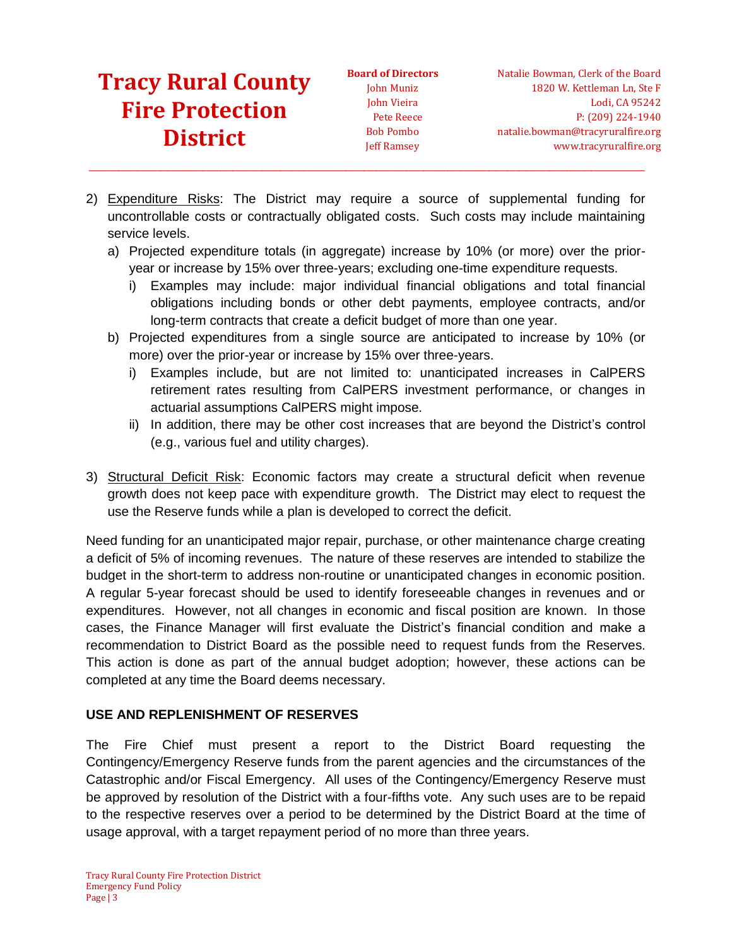**Board of Directors** John Muniz John Vieira Pete Reece Bob Pombo Jeff Ramsey

2) Expenditure Risks: The District may require a source of supplemental funding for uncontrollable costs or contractually obligated costs. Such costs may include maintaining service levels.

 $\_$  ,  $\_$  ,  $\_$  ,  $\_$  ,  $\_$  ,  $\_$  ,  $\_$  ,  $\_$  ,  $\_$  ,  $\_$  ,  $\_$  ,  $\_$  ,  $\_$  ,  $\_$  ,  $\_$  ,  $\_$  ,  $\_$  ,  $\_$  ,  $\_$  ,  $\_$  ,  $\_$  ,  $\_$  ,  $\_$  ,  $\_$  ,  $\_$  ,  $\_$  ,  $\_$  ,  $\_$  ,  $\_$  ,  $\_$  ,  $\_$  ,  $\_$  ,  $\_$  ,  $\_$  ,  $\_$  ,  $\_$  ,  $\_$  ,

- a) Projected expenditure totals (in aggregate) increase by 10% (or more) over the prioryear or increase by 15% over three-years; excluding one-time expenditure requests.
	- i) Examples may include: major individual financial obligations and total financial obligations including bonds or other debt payments, employee contracts, and/or long-term contracts that create a deficit budget of more than one year.
- b) Projected expenditures from a single source are anticipated to increase by 10% (or more) over the prior-year or increase by 15% over three-years.
	- i) Examples include, but are not limited to: unanticipated increases in CalPERS retirement rates resulting from CalPERS investment performance, or changes in actuarial assumptions CalPERS might impose.
	- ii) In addition, there may be other cost increases that are beyond the District's control (e.g., various fuel and utility charges).
- 3) Structural Deficit Risk: Economic factors may create a structural deficit when revenue growth does not keep pace with expenditure growth. The District may elect to request the use the Reserve funds while a plan is developed to correct the deficit.

Need funding for an unanticipated major repair, purchase, or other maintenance charge creating a deficit of 5% of incoming revenues. The nature of these reserves are intended to stabilize the budget in the short-term to address non-routine or unanticipated changes in economic position. A regular 5-year forecast should be used to identify foreseeable changes in revenues and or expenditures. However, not all changes in economic and fiscal position are known. In those cases, the Finance Manager will first evaluate the District's financial condition and make a recommendation to District Board as the possible need to request funds from the Reserves. This action is done as part of the annual budget adoption; however, these actions can be completed at any time the Board deems necessary.

## **USE AND REPLENISHMENT OF RESERVES**

The Fire Chief must present a report to the District Board requesting the Contingency/Emergency Reserve funds from the parent agencies and the circumstances of the Catastrophic and/or Fiscal Emergency. All uses of the Contingency/Emergency Reserve must be approved by resolution of the District with a four-fifths vote. Any such uses are to be repaid to the respective reserves over a period to be determined by the District Board at the time of usage approval, with a target repayment period of no more than three years.